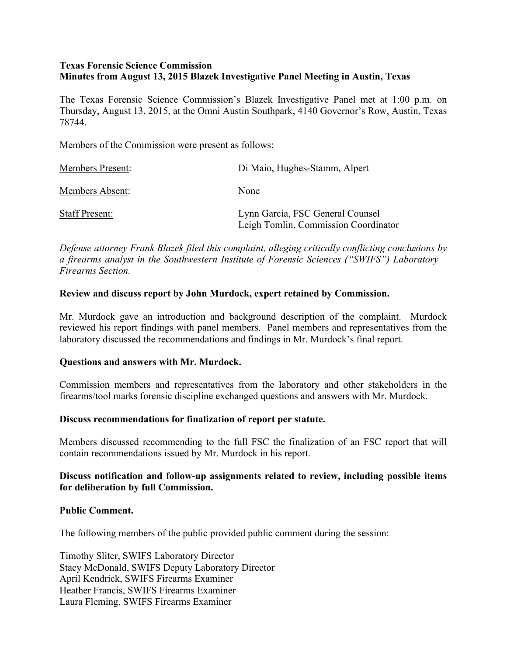## **Texas Forensic Science Commission Minutes from August 13, 2015 Blazek Investigative Panel Meeting in Austin, Texas**

The Texas Forensic Science Commission's Blazek Investigative Panel met at 1:00 p.m. on Thursday, August 13, 2015, at the Omni Austin Southpark, 4140 Governor's Row, Austin, Texas 78744.

Members of the Commission were present as follows:

| <b>Members Present:</b> | Di Maio, Hughes-Stamm, Alpert                                            |
|-------------------------|--------------------------------------------------------------------------|
| Members Absent:         | None                                                                     |
| <b>Staff Present:</b>   | Lynn Garcia, FSC General Counsel<br>Leigh Tomlin, Commission Coordinator |

*Defense attorney Frank Blazek filed this complaint, alleging critically conflicting conclusions by a firearms analyst in the Southwestern Institute of Forensic Sciences ("SWIFS") Laboratory – Firearms Section.*

## **Review and discuss report by John Murdock, expert retained by Commission.**

Mr. Murdock gave an introduction and background description of the complaint. Murdock reviewed his report findings with panel members. Panel members and representatives from the laboratory discussed the recommendations and findings in Mr. Murdock's final report.

### **Questions and answers with Mr. Murdock.**

Commission members and representatives from the laboratory and other stakeholders in the firearms/tool marks forensic discipline exchanged questions and answers with Mr. Murdock.

### **Discuss recommendations for finalization of report per statute.**

Members discussed recommending to the full FSC the finalization of an FSC report that will contain recommendations issued by Mr. Murdock in his report.

## **Discuss notification and follow-up assignments related to review, including possible items for deliberation by full Commission.**

### **Public Comment.**

The following members of the public provided public comment during the session:

Timothy Sliter, SWIFS Laboratory Director Stacy McDonald, SWIFS Deputy Laboratory Director April Kendrick, SWIFS Firearms Examiner Heather Francis, SWIFS Firearms Examiner Laura Fleming, SWIFS Firearms Examiner